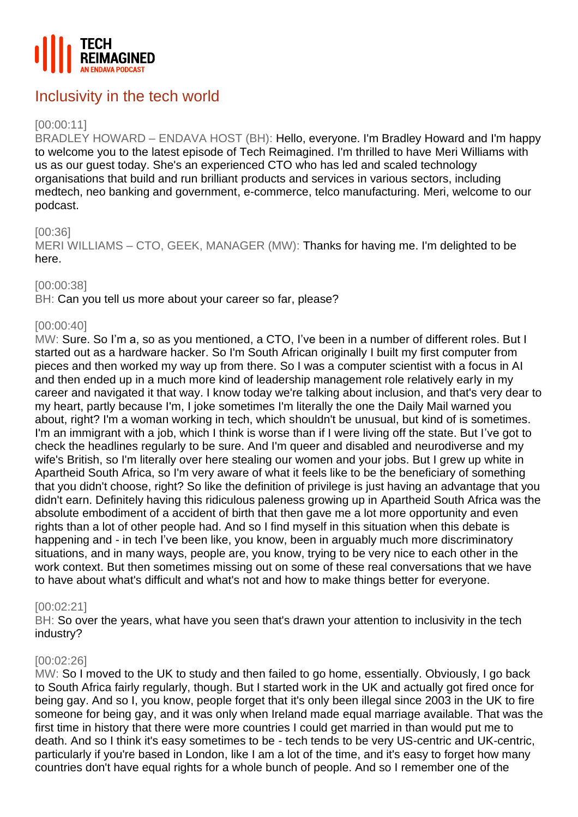

# Inclusivity in the tech world

# [00:00:11]

BRADLEY HOWARD – ENDAVA HOST (BH): Hello, everyone. I'm Bradley Howard and I'm happy to welcome you to the latest episode of Tech Reimagined. I'm thrilled to have Meri Williams with us as our guest today. She's an experienced CTO who has led and scaled technology organisations that build and run brilliant products and services in various sectors, including medtech, neo banking and government, e-commerce, telco manufacturing. Meri, welcome to our podcast.

## [00:36]

MERI WILLIAMS – CTO, GEEK, MANAGER (MW): Thanks for having me. I'm delighted to be here.

#### [00:00:38]

BH: Can you tell us more about your career so far, please?

# [00:00:40]

MW: Sure. So I'm a, so as you mentioned, a CTO, I've been in a number of different roles. But I started out as a hardware hacker. So I'm South African originally I built my first computer from pieces and then worked my way up from there. So I was a computer scientist with a focus in AI and then ended up in a much more kind of leadership management role relatively early in my career and navigated it that way. I know today we're talking about inclusion, and that's very dear to my heart, partly because I'm, I joke sometimes I'm literally the one the Daily Mail warned you about, right? I'm a woman working in tech, which shouldn't be unusual, but kind of is sometimes. I'm an immigrant with a job, which I think is worse than if I were living off the state. But I've got to check the headlines regularly to be sure. And I'm queer and disabled and neurodiverse and my wife's British, so I'm literally over here stealing our women and your jobs. But I grew up white in Apartheid South Africa, so I'm very aware of what it feels like to be the beneficiary of something that you didn't choose, right? So like the definition of privilege is just having an advantage that you didn't earn. Definitely having this ridiculous paleness growing up in Apartheid South Africa was the absolute embodiment of a accident of birth that then gave me a lot more opportunity and even rights than a lot of other people had. And so I find myself in this situation when this debate is happening and - in tech I've been like, you know, been in arguably much more discriminatory situations, and in many ways, people are, you know, trying to be very nice to each other in the work context. But then sometimes missing out on some of these real conversations that we have to have about what's difficult and what's not and how to make things better for everyone.

## [00:02:21]

BH: So over the years, what have you seen that's drawn your attention to inclusivity in the tech industry?

#### [00:02:26]

MW: So I moved to the UK to study and then failed to go home, essentially. Obviously, I go back to South Africa fairly regularly, though. But I started work in the UK and actually got fired once for being gay. And so I, you know, people forget that it's only been illegal since 2003 in the UK to fire someone for being gay, and it was only when Ireland made equal marriage available. That was the first time in history that there were more countries I could get married in than would put me to death. And so I think it's easy sometimes to be - tech tends to be very US-centric and UK-centric, particularly if you're based in London, like I am a lot of the time, and it's easy to forget how many countries don't have equal rights for a whole bunch of people. And so I remember one of the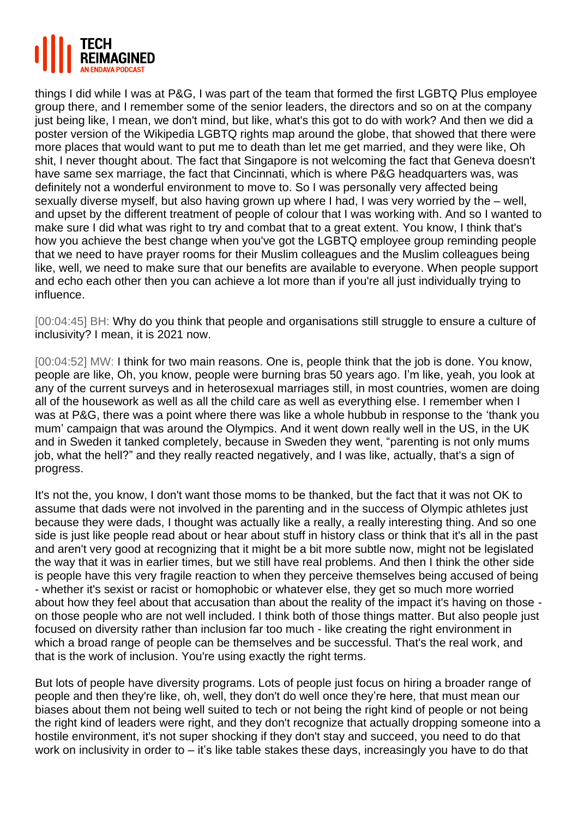

things I did while I was at P&G, I was part of the team that formed the first LGBTQ Plus employee group there, and I remember some of the senior leaders, the directors and so on at the company just being like, I mean, we don't mind, but like, what's this got to do with work? And then we did a poster version of the Wikipedia LGBTQ rights map around the globe, that showed that there were more places that would want to put me to death than let me get married, and they were like, Oh shit, I never thought about. The fact that Singapore is not welcoming the fact that Geneva doesn't have same sex marriage, the fact that Cincinnati, which is where P&G headquarters was, was definitely not a wonderful environment to move to. So I was personally very affected being sexually diverse myself, but also having grown up where I had, I was very worried by the – well, and upset by the different treatment of people of colour that I was working with. And so I wanted to make sure I did what was right to try and combat that to a great extent. You know, I think that's how you achieve the best change when you've got the LGBTQ employee group reminding people that we need to have prayer rooms for their Muslim colleagues and the Muslim colleagues being like, well, we need to make sure that our benefits are available to everyone. When people support and echo each other then you can achieve a lot more than if you're all just individually trying to influence.

[00:04:45] BH: Why do you think that people and organisations still struggle to ensure a culture of inclusivity? I mean, it is 2021 now.

[00:04:52] MW: I think for two main reasons. One is, people think that the job is done. You know, people are like, Oh, you know, people were burning bras 50 years ago. I'm like, yeah, you look at any of the current surveys and in heterosexual marriages still, in most countries, women are doing all of the housework as well as all the child care as well as everything else. I remember when I was at P&G, there was a point where there was like a whole hubbub in response to the 'thank you mum' campaign that was around the Olympics. And it went down really well in the US, in the UK and in Sweden it tanked completely, because in Sweden they went, "parenting is not only mums job, what the hell?" and they really reacted negatively, and I was like, actually, that's a sign of progress.

It's not the, you know, I don't want those moms to be thanked, but the fact that it was not OK to assume that dads were not involved in the parenting and in the success of Olympic athletes just because they were dads, I thought was actually like a really, a really interesting thing. And so one side is just like people read about or hear about stuff in history class or think that it's all in the past and aren't very good at recognizing that it might be a bit more subtle now, might not be legislated the way that it was in earlier times, but we still have real problems. And then I think the other side is people have this very fragile reaction to when they perceive themselves being accused of being - whether it's sexist or racist or homophobic or whatever else, they get so much more worried about how they feel about that accusation than about the reality of the impact it's having on those on those people who are not well included. I think both of those things matter. But also people just focused on diversity rather than inclusion far too much - like creating the right environment in which a broad range of people can be themselves and be successful. That's the real work, and that is the work of inclusion. You're using exactly the right terms.

But lots of people have diversity programs. Lots of people just focus on hiring a broader range of people and then they're like, oh, well, they don't do well once they're here, that must mean our biases about them not being well suited to tech or not being the right kind of people or not being the right kind of leaders were right, and they don't recognize that actually dropping someone into a hostile environment, it's not super shocking if they don't stay and succeed, you need to do that work on inclusivity in order to – it's like table stakes these days, increasingly you have to do that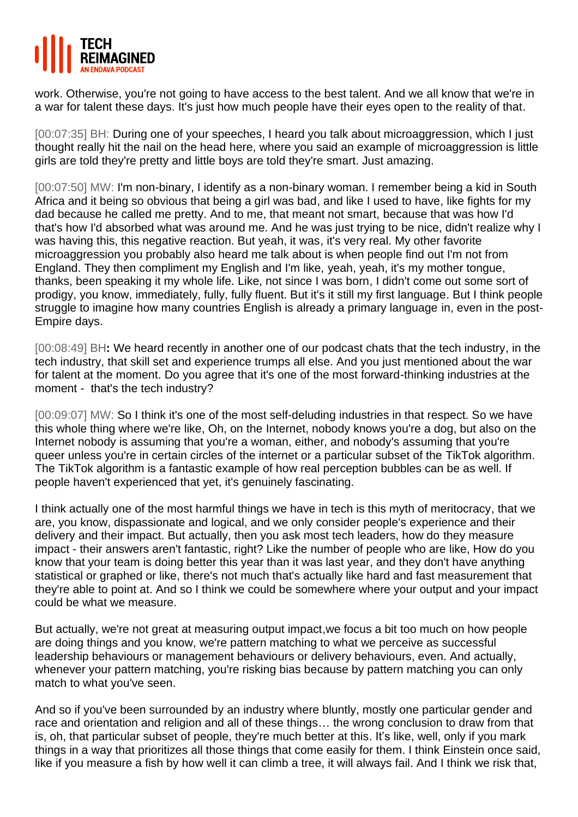

work. Otherwise, you're not going to have access to the best talent. And we all know that we're in a war for talent these days. It's just how much people have their eyes open to the reality of that.

[00:07:35] BH: During one of your speeches, I heard you talk about microaggression, which I just thought really hit the nail on the head here, where you said an example of microaggression is little girls are told they're pretty and little boys are told they're smart. Just amazing.

[00:07:50] MW: I'm non-binary, I identify as a non-binary woman. I remember being a kid in South Africa and it being so obvious that being a girl was bad, and like I used to have, like fights for my dad because he called me pretty. And to me, that meant not smart, because that was how I'd that's how I'd absorbed what was around me. And he was just trying to be nice, didn't realize why I was having this, this negative reaction. But yeah, it was, it's very real. My other favorite microaggression you probably also heard me talk about is when people find out I'm not from England. They then compliment my English and I'm like, yeah, yeah, it's my mother tongue, thanks, been speaking it my whole life. Like, not since I was born, I didn't come out some sort of prodigy, you know, immediately, fully, fully fluent. But it's it still my first language. But I think people struggle to imagine how many countries English is already a primary language in, even in the post-Empire days.

[00:08:49] BH**:** We heard recently in another one of our podcast chats that the tech industry, in the tech industry, that skill set and experience trumps all else. And you just mentioned about the war for talent at the moment. Do you agree that it's one of the most forward-thinking industries at the moment - that's the tech industry?

[00:09:07] MW: So I think it's one of the most self-deluding industries in that respect. So we have this whole thing where we're like, Oh, on the Internet, nobody knows you're a dog, but also on the Internet nobody is assuming that you're a woman, either, and nobody's assuming that you're queer unless you're in certain circles of the internet or a particular subset of the TikTok algorithm. The TikTok algorithm is a fantastic example of how real perception bubbles can be as well. If people haven't experienced that yet, it's genuinely fascinating.

I think actually one of the most harmful things we have in tech is this myth of meritocracy, that we are, you know, dispassionate and logical, and we only consider people's experience and their delivery and their impact. But actually, then you ask most tech leaders, how do they measure impact - their answers aren't fantastic, right? Like the number of people who are like, How do you know that your team is doing better this year than it was last year, and they don't have anything statistical or graphed or like, there's not much that's actually like hard and fast measurement that they're able to point at. And so I think we could be somewhere where your output and your impact could be what we measure.

But actually, we're not great at measuring output impact,we focus a bit too much on how people are doing things and you know, we're pattern matching to what we perceive as successful leadership behaviours or management behaviours or delivery behaviours, even. And actually, whenever your pattern matching, you're risking bias because by pattern matching you can only match to what you've seen.

And so if you've been surrounded by an industry where bluntly, mostly one particular gender and race and orientation and religion and all of these things… the wrong conclusion to draw from that is, oh, that particular subset of people, they're much better at this. It's like, well, only if you mark things in a way that prioritizes all those things that come easily for them. I think Einstein once said, like if you measure a fish by how well it can climb a tree, it will always fail. And I think we risk that,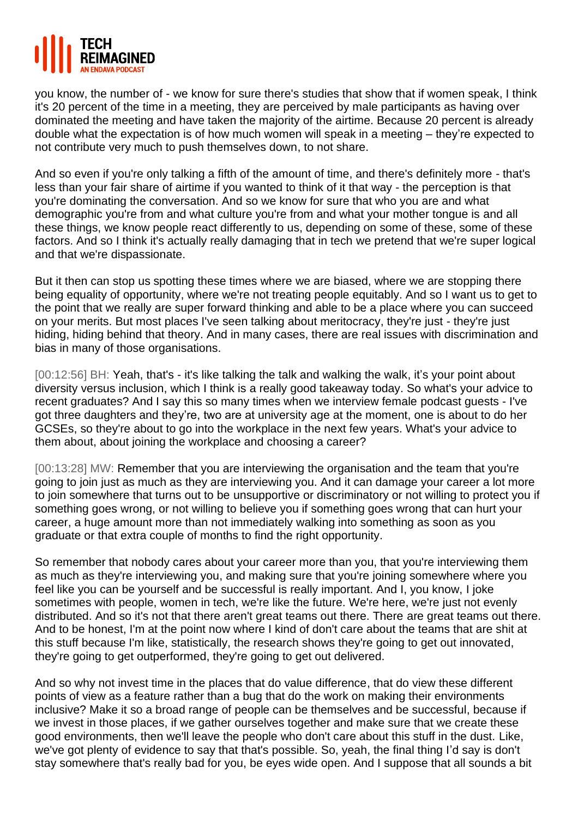

you know, the number of - we know for sure there's studies that show that if women speak, I think it's 20 percent of the time in a meeting, they are perceived by male participants as having over dominated the meeting and have taken the majority of the airtime. Because 20 percent is already double what the expectation is of how much women will speak in a meeting – they're expected to not contribute very much to push themselves down, to not share.

And so even if you're only talking a fifth of the amount of time, and there's definitely more - that's less than your fair share of airtime if you wanted to think of it that way - the perception is that you're dominating the conversation. And so we know for sure that who you are and what demographic you're from and what culture you're from and what your mother tongue is and all these things, we know people react differently to us, depending on some of these, some of these factors. And so I think it's actually really damaging that in tech we pretend that we're super logical and that we're dispassionate.

But it then can stop us spotting these times where we are biased, where we are stopping there being equality of opportunity, where we're not treating people equitably. And so I want us to get to the point that we really are super forward thinking and able to be a place where you can succeed on your merits. But most places I've seen talking about meritocracy, they're just - they're just hiding, hiding behind that theory. And in many cases, there are real issues with discrimination and bias in many of those organisations.

[00:12:56] BH: Yeah, that's - it's like talking the talk and walking the walk, it's your point about diversity versus inclusion, which I think is a really good takeaway today. So what's your advice to recent graduates? And I say this so many times when we interview female podcast guests - I've got three daughters and they're, two are at university age at the moment, one is about to do her GCSEs, so they're about to go into the workplace in the next few years. What's your advice to them about, about joining the workplace and choosing a career?

[00:13:28] MW: Remember that you are interviewing the organisation and the team that you're going to join just as much as they are interviewing you. And it can damage your career a lot more to join somewhere that turns out to be unsupportive or discriminatory or not willing to protect you if something goes wrong, or not willing to believe you if something goes wrong that can hurt your career, a huge amount more than not immediately walking into something as soon as you graduate or that extra couple of months to find the right opportunity.

So remember that nobody cares about your career more than you, that you're interviewing them as much as they're interviewing you, and making sure that you're joining somewhere where you feel like you can be yourself and be successful is really important. And I, you know, I joke sometimes with people, women in tech, we're like the future. We're here, we're just not evenly distributed. And so it's not that there aren't great teams out there. There are great teams out there. And to be honest, I'm at the point now where I kind of don't care about the teams that are shit at this stuff because I'm like, statistically, the research shows they're going to get out innovated, they're going to get outperformed, they're going to get out delivered.

And so why not invest time in the places that do value difference, that do view these different points of view as a feature rather than a bug that do the work on making their environments inclusive? Make it so a broad range of people can be themselves and be successful, because if we invest in those places, if we gather ourselves together and make sure that we create these good environments, then we'll leave the people who don't care about this stuff in the dust. Like, we've got plenty of evidence to say that that's possible. So, yeah, the final thing I'd say is don't stay somewhere that's really bad for you, be eyes wide open. And I suppose that all sounds a bit